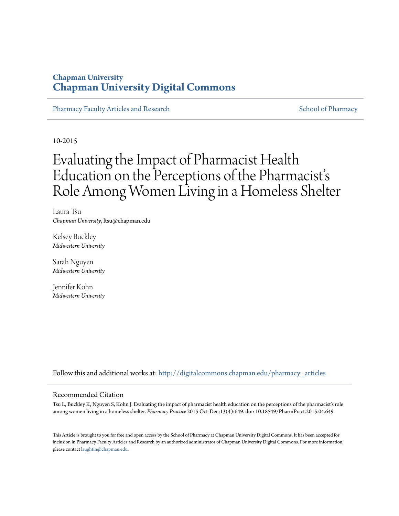# **Chapman University [Chapman University Digital Commons](http://digitalcommons.chapman.edu?utm_source=digitalcommons.chapman.edu%2Fpharmacy_articles%2F227&utm_medium=PDF&utm_campaign=PDFCoverPages)**

[Pharmacy Faculty Articles and Research](http://digitalcommons.chapman.edu/pharmacy_articles?utm_source=digitalcommons.chapman.edu%2Fpharmacy_articles%2F227&utm_medium=PDF&utm_campaign=PDFCoverPages) [School of Pharmacy](http://digitalcommons.chapman.edu/cusp?utm_source=digitalcommons.chapman.edu%2Fpharmacy_articles%2F227&utm_medium=PDF&utm_campaign=PDFCoverPages) School of Pharmacy

10-2015

# Evaluating the Impact of Pharmacist Health Education on the Perceptions of the Pharmacist' s Role Among Women Living in a Homeless Shelter

Laura Tsu *Chapman University*, ltsu@chapman.edu

Kelsey Buckley *Midwestern University*

Sarah Nguyen *Midwestern University*

Jennifer Kohn *Midwestern University*

Follow this and additional works at: [http://digitalcommons.chapman.edu/pharmacy\\_articles](http://digitalcommons.chapman.edu/pharmacy_articles?utm_source=digitalcommons.chapman.edu%2Fpharmacy_articles%2F227&utm_medium=PDF&utm_campaign=PDFCoverPages)

### Recommended Citation

Tsu L, Buckley K, Nguyen S, Kohn J. Evaluating the impact of pharmacist health education on the perceptions of the pharmacist's role among women living in a homeless shelter. *Pharmacy Practice* 2015 Oct-Dec;13(4):649. doi: 10.18549/PharmPract.2015.04.649

This Article is brought to you for free and open access by the School of Pharmacy at Chapman University Digital Commons. It has been accepted for inclusion in Pharmacy Faculty Articles and Research by an authorized administrator of Chapman University Digital Commons. For more information, please contact [laughtin@chapman.edu.](mailto:laughtin@chapman.edu)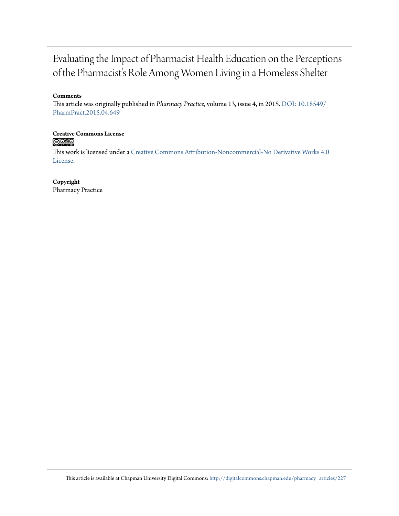# Evaluating the Impact of Pharmacist Health Education on the Perceptions of the Pharmacist's Role Among Women Living in a Homeless Shelter

# **Comments**

This article was originally published in *Pharmacy Practice*, volume 13, issue 4, in 2015. [DOI: 10.18549/](http://dx.doi.org/10.18549/PharmPract.2015.04.649) [PharmPract.2015.04.649](http://dx.doi.org/10.18549/PharmPract.2015.04.649)

**Creative Commons License**  $\bigcirc$   $\circ$ 

This work is licensed under a [Creative Commons Attribution-Noncommercial-No Derivative Works 4.0](http://creativecommons.org/licenses/by-nc-nd/4.0/) [License.](http://creativecommons.org/licenses/by-nc-nd/4.0/)

**Copyright** Pharmacy Practice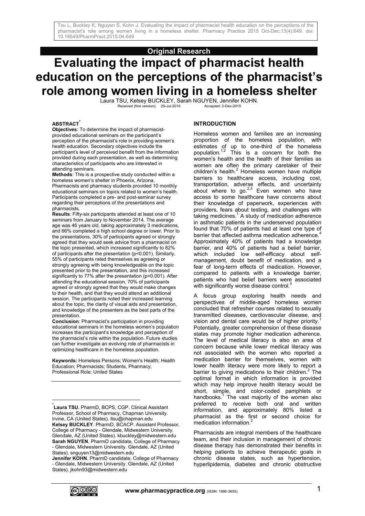# **Original Research**

# **Evaluating the impact of pharmacist health education on the perceptions of the pharmacist's role among women living in a homeless shelter**

Laura TSU, Kelsey BUCKLEY, Sarah NGUYEN, Jennifer KOHN.<br>Received (first version): 29-Jul-2015<br>Accepted: 2-Dec-2015 Received (first version): 29-Jul-2015

#### **ABSTRACT\***

**Objectives**: To determine the impact of pharmacistprovided educational seminars on the participant's perception of the pharmacist's role in providing women's health education. Secondary objectives include the participant's level of perceived benefit from the information provided during each presentation, as well as determining characteristics of participants who are interested in attending seminars.

**Methods**: This is a prospective study conducted within a homeless women's shelter in Phoenix, Arizona. Pharmacists and pharmacy students provided 10 monthly educational seminars on topics related to women's health. Participants completed a pre- and post-seminar survey regarding their perceptions of the presentations and pharmacists.

**Results**: Fifty-six participants attended at least one of 10 seminars from January to November 2014. The average age was 46 years old, taking approximately 3 medications, and 66% completed a high school degree or lower. Prior to the presentations, 30% of participants agreed or strongly agreed that they would seek advice from a pharmacist on the topic presented, which increased significantly to 82% of participants after the presentation (p<0.001). Similarly, 55% of participants rated themselves as agreeing or strongly agreeing with being knowledgeable on the topic presented prior to the presentation, and this increased significantly to 77% after the presentation (p=0.001). After attending the educational session, 70% of participants agreed or strongly agreed that they would make changes to their health, and that they would attend an additional session. The participants noted their increased learning about the topic, the clarity of visual aids and presentation, and knowledge of the presenters as the best parts of the presentation.

**Conclusion**: Pharmacist's participation in providing educational seminars in the homeless women's population increases the participant's knowledge and perception of the pharmacist's role within the population. Future studies can further investigate an evolving role of pharmacists in optimizing healthcare in the homeless population.

**Keywords:** Homeless Persons; Women's Health; Health Education; Pharmacists; Students, Pharmacy; Professional Role; United States

**Jennifer KOHN**. PharmD candidate, College of Pharmacy - Glendale, Midwestern University. Glendale, AZ (United States). jkohn93@midwestern.edu

#### **INTRODUCTION**

Homeless women and families are an increasing proportion of the homeless population, with estimates of up to one-third of the homeless population.<sup>1,2</sup> This is a concern for both the women's health and the health of their families as women are often the primary caretaker of their children's health. $^2$  Homeless women have multiple barriers to healthcare access, including cost, transportation, adverse effects, and uncertainty about where to go. $2.3$  Even women who have access to some healthcare have concerns about their knowledge of paperwork, experiences with providers, fears about testing, and challenges with  $t$ aking medicines. $1$  A study of medication adherence in asthmatic patients in the underserved population found that 70% of patients had at least one type of barrier that affected asthma medication adherence.<sup>4</sup> Approximately 40% of patients had a knowledge barrier, and 40% of patients had a belief barrier, which included low self-efficacy about selfmanagement, doubt benefit of medication, and a fear of long-term effects of medication. However, compared to patients with a knowledge barrier, patients who had belief barriers were associated with significantly worse disease control.

A focus group exploring health needs and perspectives of middle-aged homeless women concluded that refresher courses related to sexually transmitted diseases, cardiovascular disease, and vision and dental care would be of higher priority.<sup>1</sup> Potentially, greater comprehension of these disease states may promote higher medication adherence. The level of medical literacy is also an area of concern because while lower medical literacy was not associated with the women who reported a medication barrier for themselves, women with lower health literacy were more likely to report a barrier to giving medications to their children.<sup>2</sup> The optimal format in which information is provided which may help improve health literacy would be short, simple, and color-coded pamphlets or handbooks.<sup>1</sup> The vast majority of the women also preferred to receive both oral and written information, and approximately 80% listed a pharmacist as the first or second choice for medication information.<sup>2</sup>

Pharmacists are integral members of the healthcare team, and their inclusion in management of chronic disease therapy has demonstrated their benefits in helping patients to achieve therapeutic goals in chronic disease states, such as hypertension, hyperlipidemia, diabetes and chronic obstructive



1

<sup>\*</sup> **Laura TSU**. PharmD, BCPS, CGP. Clinical Assistant Professor, School of Pharmacy, Chapman University. Irvine, CA (United States). ltsu@chapman.edu **Kelsey BUCKLEY**. PharmD, BCACP. Assistant Professor, College of Pharmacy - Glendale, Midwestern University. Glendale, AZ (United States). kbuckley@midwestern.edu **Sarah NGUYEN**, PharmD candidate, College of Pharmacy - Glendale, Midwestern University. Glendale, AZ (United States). snguyen13@midwestern.edu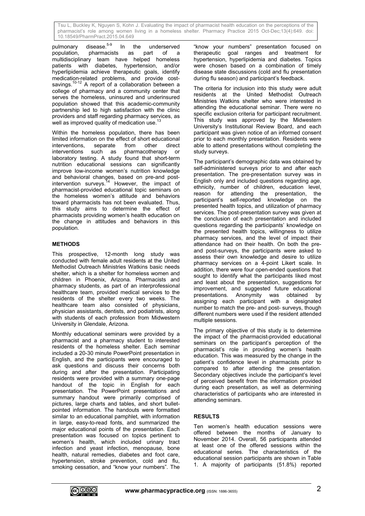pulmonary disease.<sup>5-9</sup> In the underserved population, pharmacists as part of a multidisciplinary team have helped homeless patients with diabetes, hypertension, and/or hyperlipidemia achieve therapeutic goals, identify medication-related problems, and provide costsavings.<sup>10-12</sup> A report of a collaboration between a college of pharmacy and a community center that serves the homeless, uninsured and underinsured population showed that this academic-community partnership led to high satisfaction with the clinic providers and staff regarding pharmacy services, as well as improved quality of medication use.

Within the homeless population, there has been limited information on the effect of short educational interventions, separate from other<br>interventions such as pharmacothera such as pharmacotherapy or laboratory testing. A study found that short-term nutrition educational sessions can significantly improve low-income women's nutrition knowledge and behavioral changes, based on pre-and postintervention surveys.<sup>14</sup> However, the impact of pharmacist-provided educational topic seminars on the homeless women's attitude and behaviors toward pharmacists has not been evaluated. Thus, this study aims to determine the effect of pharmacists providing women's health education on the change in attitudes and behaviors in this population.

# **METHODS**

This prospective, 12-month long study was conducted with female adult residents at the United Methodist Outreach Ministries Watkins basic needs shelter, which is a shelter for homeless women and children in Phoenix, Arizona. Pharmacists and pharmacy students, as part of an interprofessional healthcare team, provided medical services to the residents of the shelter every two weeks. The healthcare team also consisted of physicians, physician assistants, dentists, and podiatrists, along with students of each profession from Midwestern University in Glendale, Arizona.

Monthly educational seminars were provided by a pharmacist and a pharmacy student to interested residents of the homeless shelter. Each seminar included a 20-30 minute PowerPoint presentation in English, and the participants were encouraged to ask questions and discuss their concerns both during and after the presentation. Participating residents were provided with a summary one-page handout of the topic in English for each presentation. The PowerPoint presentations and summary handout were primarily comprised of pictures, large charts and tables, and short bulletpointed information. The handouts were formatted similar to an educational pamphlet, with information in large, easy-to-read fonts, and summarized the major educational points of the presentation. Each presentation was focused on topics pertinent to women's health, which included urinary tract infection and yeast infection, menopause, bone health, natural remedies, diabetes and foot care, hypertension, stroke prevention, cold and flu, smoking cessation, and "know your numbers". The

"know your numbers" presentation focused on therapeutic goal ranges and treatment for hypertension, hyperlipidemia and diabetes. Topics were chosen based on a combination of timely disease state discussions (cold and flu presentation during flu season) and participant's feedback.

The criteria for inclusion into this study were adult residents at the United Methodist Outreach Ministries Watkins shelter who were interested in attending the educational seminar. There were no specific exclusion criteria for participant recruitment. This study was approved by the Midwestern University's Institutional Review Board, and each participant was given notice of an informed consent prior to each monthly presentation. Residents were able to attend presentations without completing the study surveys.

The participant's demographic data was obtained by self-administered surveys prior to and after each presentation. The pre-presentation survey was in English only and included questions regarding age, ethnicity, number of children, education level, reason for attending the presentation, the participant's self-reported knowledge on the presented health topics, and utilization of pharmacy services. The post-presentation survey was given at the conclusion of each presentation and included questions regarding the participants' knowledge on the presented health topics, willingness to utilize pharmacy services, and the level of impact their attendance had on their health. On both the preand post-surveys, the participants were asked to assess their own knowledge and desire to utilize pharmacy services on a 4-point Likert scale. In addition, there were four open-ended questions that sought to identify what the participants liked most and least about the presentation, suggestions for improvement, and suggested future educational presentations. Anonymity was obtained by assigning each participant with a designated number to match the pre- and post- surveys, though different numbers were used if the resident attended multiple sessions.

The primary objective of this study is to determine the impact of the pharmacist-provided educational seminars on the participant's perception of the pharmacist's role in providing women's health education. This was measured by the change in the patient's confidence level in pharmacists prior to compared to after attending the presentation. Secondary objectives include the participant's level of perceived benefit from the information provided during each presentation, as well as determining characteristics of participants who are interested in attending seminars.

# **RESULTS**

Ten women's health education sessions were offered between the months of January to November 2014. Overall, 56 participants attended at least one of the offered sessions within the educational series. The characteristics of the educational session participants are shown in Table 1. A majority of participants (51.8%) reported

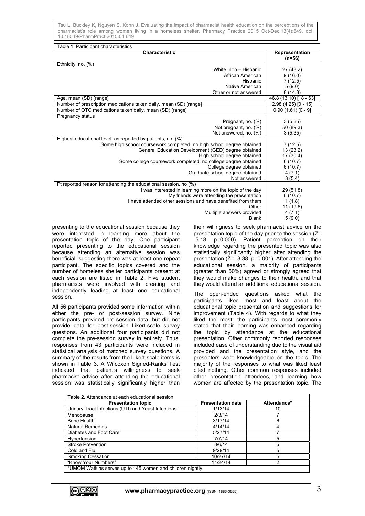| Table 1. Participant characteristics                                  |                        |
|-----------------------------------------------------------------------|------------------------|
| <b>Characteristic</b>                                                 | Representation         |
|                                                                       | (n=56)                 |
| Ethnicity, no. $(%)$                                                  |                        |
| White, non - Hispanic                                                 | 27 (48.2)              |
| African American                                                      | 9(16.0)                |
| Hispanic                                                              | 7(12.5)                |
| Native American                                                       | 5(9.0)                 |
| Other or not answered                                                 | 8(14.3)                |
| Age, mean (SD) [range]                                                | 46.8 (13.10) [18 - 63] |
| Number of prescription medications taken daily, mean (SD) [range]     | 2.98 (4.25) [0 - 15]   |
| Number of OTC medications taken daily, mean (SD) [range]              | $0.90(1.61)[0 - 9]$    |
| <b>Pregnancy status</b>                                               |                        |
| Pregnant, no. (%)                                                     | 3(5.35)                |
| Not pregnant, no. (%)                                                 | 50 (89.3)              |
| Not answered, no. (%)                                                 | 3(5.35)                |
| Highest educational level, as reported by patients, no. (%)           |                        |
| Some high school coursework completed, no high school degree obtained | 7(12.5)                |
| General Education Development (GED) degree obtained                   | 13(23.2)               |
| High school degree obtained                                           | 17(30.4)               |
| Some college coursework completed, no college degree obtained         | 6(10.7)                |
| College degree obtained                                               | 6(10.7)                |
| Graduate school degree obtained                                       | 4(7.1)                 |
| Not answered                                                          | 3(5.4)                 |
| Pt reported reason for attending the educational session, no (%)      |                        |
| I was interested in learning more on the topic of the day             | 29(51.8)               |
| My friends were attending the presentation                            | 6(10.7)                |
| I have attended other sessions and have benefited from them           | 1(1.8)                 |
| Other                                                                 | 11 (19.6)              |
| Multiple answers provided                                             | 4(7.1)                 |
| <b>Blank</b>                                                          | 5(9.0)                 |

presenting to the educational session because they were interested in learning more about the presentation topic of the day. One participant reported presenting to the educational session because attending an alternative session was beneficial, suggesting there was at least one repeat participant. The specific topics covered and the number of homeless shelter participants present at each session are listed in Table 2. Five student pharmacists were involved with creating and independently leading at least one educational session.

All 56 participants provided some information within either the pre- or post-session survey. Nine participants provided pre-session data, but did not provide data for post-session Likert-scale survey questions. An additional four participants did not complete the pre-session survey in entirety. Thus, responses from 43 participants were included in statistical analysis of matched survey questions. A summary of the results from the Likert-scale items is shown in Table 3. A Wilcoxon Signed-Ranks Test indicated that patient's willingness to seek pharmacist advice after attending the educational session was statistically significantly higher than

their willingness to seek pharmacist advice on the presentation topic of the day prior to the session (Z= -5.18, p=0.000). Patient perception on their knowledge regarding the presented topic was also statistically significantly higher after attending the presentation  $(Z= -3.38, p=0.001)$ . After attending the educational session, a majority of participants (greater than 50%) agreed or strongly agreed that they would make changes to their health, and that they would attend an additional educational session.

The open-ended questions asked what the participants liked most and least about the educational topic presentation and suggestions for improvement (Table 4). With regards to what they liked the most, the participants most commonly stated that their learning was enhanced regarding the topic by attendance at the educational presentation. Other commonly reported responses included ease of understanding due to the visual aid provided and the presentation style, and the presenters were knowledgeable on the topic. The majority of the responses to what was liked least cited nothing. Other common responses included other presentation attendees, and learning how women are affected by the presentation topic. The

| Table 2. Attendance at each educational session            |                          |             |  |  |
|------------------------------------------------------------|--------------------------|-------------|--|--|
| <b>Presentation topic</b>                                  | <b>Presentation date</b> | Attendance* |  |  |
| Urinary Tract Infections (UTI) and Yeast Infections        | 1/13/14                  | 10          |  |  |
| Menopause                                                  | 2/3/14                   |             |  |  |
| Bone Health                                                | 3/17/14                  | 6           |  |  |
| <b>Natural Remedies</b>                                    | 4/14/14                  |             |  |  |
| Diabetes and Foot Care                                     | 5/27/14                  |             |  |  |
| Hypertension                                               | 7/7/14                   | 5           |  |  |
| <b>Stroke Prevention</b>                                   | 8/6/14                   | 5           |  |  |
| Cold and Flu                                               | 9/29/14                  | 5           |  |  |
| <b>Smoking Cessation</b>                                   | 10/27/14                 | 5           |  |  |
| "Know Your Numbers"                                        | 11/24/14                 | າ           |  |  |
| *UMOM Watkins serves up to 145 women and children nightly. |                          |             |  |  |

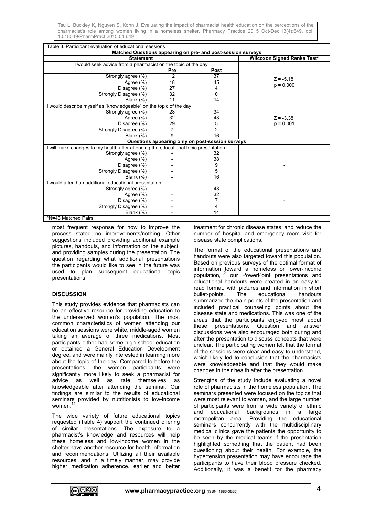| Table 3. Participant evaluation of educational sessions                             |     |                                                  |                                    |  |  |
|-------------------------------------------------------------------------------------|-----|--------------------------------------------------|------------------------------------|--|--|
| Matched Questions appearing on pre- and post-session surveys                        |     |                                                  |                                    |  |  |
| <b>Statement</b>                                                                    |     |                                                  | <b>Wilcoxon Signed Ranks Test*</b> |  |  |
| I would seek advice from a pharmacist on the topic of the day                       |     |                                                  |                                    |  |  |
|                                                                                     | Pre | Post                                             |                                    |  |  |
| Strongly agree (%)                                                                  | 12  | 37                                               | $Z = -5.18$ .                      |  |  |
| Agree (%)                                                                           | 18  | 45                                               | $p = 0.000$                        |  |  |
| Disagree (%)                                                                        | 27  | 4                                                |                                    |  |  |
| Strongly Disagree (%)                                                               | 32  | 0                                                |                                    |  |  |
| Blank $(%)$                                                                         | 11  | 14                                               |                                    |  |  |
| I would describe myself as "knowledgeable" on the topic of the day                  |     |                                                  |                                    |  |  |
| Strongly agree (%)                                                                  | 23  | 34                                               |                                    |  |  |
| Agree $(\% )$                                                                       | 32  | 43                                               | $Z = -3.38$                        |  |  |
| Disagree (%)                                                                        | 29  | 5                                                | $p = 0.001$                        |  |  |
| Strongly Disagree (%)                                                               |     | $\overline{2}$                                   |                                    |  |  |
| Blank $(\%)$                                                                        | 9   | 16                                               |                                    |  |  |
|                                                                                     |     | Questions appearing only on post-session surveys |                                    |  |  |
| I will make changes to my health after attending the educational topic presentation |     |                                                  |                                    |  |  |
| Strongly agree (%)                                                                  |     | 32                                               |                                    |  |  |
| Agree $(\%)$                                                                        |     | 38                                               |                                    |  |  |
| Disagree (%)                                                                        |     | 9                                                |                                    |  |  |
| Strongly Disagree (%)                                                               |     | 5                                                |                                    |  |  |
| Blank $(% )$                                                                        |     | 16                                               |                                    |  |  |
| I would attend an additional educational presentation                               |     |                                                  |                                    |  |  |
| Strongly agree (%)                                                                  |     | 43                                               |                                    |  |  |
| Agree (%)                                                                           |     | 32                                               |                                    |  |  |
| Disagree (%)                                                                        |     |                                                  |                                    |  |  |
| Strongly Disagree (%)                                                               |     | 4                                                |                                    |  |  |
| Blank $(\%)$                                                                        |     | 14                                               |                                    |  |  |
| *NI-13 Matched Paire                                                                |     |                                                  |                                    |  |  |

\*N=43 Matched Pairs

most frequent response for how to improve the process stated no improvements/nothing. Other suggestions included providing additional example pictures, handouts, and information on the subject, and providing samples during the presentation. The question regarding what additional presentations the participants would like to see in the future was used to plan subsequent educational topic presentations.

# **DISCUSSION**

This study provides evidence that pharmacists can be an effective resource for providing education to the underserved women's population. The most common characteristics of women attending our education sessions were white, middle-aged women taking an average of three medications. Most participants either had some high school education or obtained a General Education Development degree, and were mainly interested in learning more about the topic of the day. Compared to before the presentations, the women participants were significantly more likely to seek a pharmacist for advice as well as rate themselves as knowledgeable after attending the seminar. Our findings are similar to the results of educational seminars provided by nutritionists to low-income women.

The wide variety of future educational topics requested (Table 4) support the continued offering of similar presentations. The exposure to a pharmacist's knowledge and resources will help these homeless and low-income women in the shelter have another resource for health information and recommendations. Utilizing all their available resources, and in a timely manner, may provide higher medication adherence, earlier and better treatment for chronic disease states, and reduce the number of hospital and emergency room visit for disease state complications.

The format of the educational presentations and handouts were also targeted toward this population. Based on previous surveys of the optimal format of information toward a homeless or lower-income population,1,2 our PowerPoint presentations and educational handouts were created in an easy-toread format, with pictures and information in short bullet-points. The educational handouts summarized the main points of the presentation and included practical counseling points about the disease state and medications. This was one of the areas that the participants enjoyed most about these presentations. Question and answer discussions were also encouraged both during and after the presentation to discuss concepts that were unclear. The participating women felt that the format of the sessions were clear and easy to understand, which likely led to conclusion that the pharmacists were knowledgeable and that they would make changes in their health after the presentation.

Strengths of the study include evaluating a novel role of pharmacists in the homeless population. The seminars presented were focused on the topics that were most relevant to women, and the large number of participants were from a wide variety of ethnic and educational backgrounds in a large metropolitan area. Providing the educational seminars concurrently with the multidisciplinary medical clinics gave the patients the opportunity to be seen by the medical teams if the presentation highlighted something that the patient had been questioning about their health. For example, the hypertension presentation may have encourage the participants to have their blood pressure checked. Additionally, it was a benefit for the pharmacy

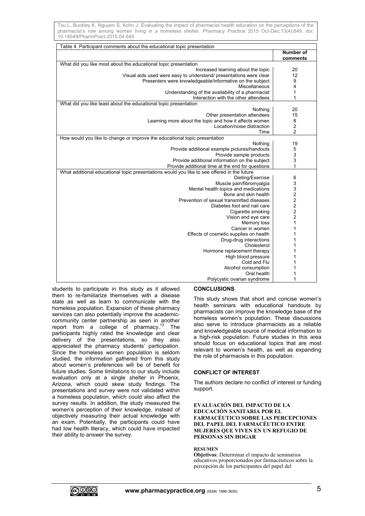| Table 4. Participant comments about the educational topic presentation                      |                         |
|---------------------------------------------------------------------------------------------|-------------------------|
|                                                                                             | <b>Number of</b>        |
|                                                                                             | comments                |
| What did you like most about the educational topic presentation                             |                         |
| Increased learning about the topic                                                          | 20                      |
| Visual aids used were easy to understand/ presentations were clear                          | 12                      |
| Presenters were knowledgeable/informative on the subject                                    | 9                       |
| Miscellaneous                                                                               | 4                       |
| Understanding of the availability of a pharmacist                                           | 1                       |
| Interaction with the other attendees                                                        | 1                       |
| What did you like least about the educational topic presentation                            |                         |
| Nothing                                                                                     | 20                      |
| Other presentation attendees                                                                | 15                      |
| Learning more about the topic and how it affects women                                      | 8                       |
| Location/noise distraction                                                                  | $\boldsymbol{2}$        |
| Time                                                                                        | $\overline{2}$          |
| How would you like to change or improve the educational topic presentation                  |                         |
| Nothing                                                                                     | 19                      |
| Provide additional example pictures/handouts                                                | 5                       |
| Provide sample products                                                                     | 3                       |
| Provide additional information on the subject                                               | 3                       |
| Provide additional time at the end for questions                                            | 1                       |
| What additional educational topic presentations would you like to see offered in the future |                         |
| Dieting/Exercise                                                                            | 6                       |
| Muscle pain/fibromyalgia                                                                    | 3                       |
| Mental health topics and medications                                                        | 3                       |
| Bone and skin health                                                                        | $\frac{2}{2}$           |
| Prevention of sexual transmitted diseases                                                   |                         |
| Diabetes foot and nail care                                                                 | $\overline{c}$          |
| Cigarette smoking                                                                           | $\overline{\mathbf{c}}$ |
| Vision and eye care                                                                         | $\overline{\mathbf{c}}$ |
| Memory loss                                                                                 | 1                       |
| Cancer in women                                                                             | 1                       |
| Effects of cosmetic supplies on health                                                      | 1                       |
| Drug-drug interactions                                                                      | 1                       |
| Cholesterol                                                                                 | 1                       |
| Hormone replacement therapy                                                                 | 1                       |
| High blood pressure                                                                         | 1                       |
| Cold and Flu                                                                                | 1                       |
| Alcohol consumption                                                                         | 1                       |
| Oral health                                                                                 | 1                       |
| Polycystic ovarian syndrome                                                                 | 1                       |

students to participate in this study as it allowed them to re-familiarize themselves with a disease state as well as learn to communicate with the homeless population. Expansion of these pharmacy services can also potentially improve the academiccommunity center partnership as seen in another report from a college of pharmacy. $^{13}$  The participants highly rated the knowledge and clear delivery of the presentations, so they also appreciated the pharmacy students' participation. Since the homeless women population is seldom studied, the information gathered from this study about women's preferences will be of benefit for future studies. Some limitations to our study include evaluation only at a single shelter in Phoenix, Arizona, which could skew study findings. The presentations and survey were not validated within a homeless population, which could also affect the survey results. In addition, the study measured the women's perception of their knowledge, instead of objectively measuring their actual knowledge with an exam. Potentially, the participants could have had low health literacy, which could have impacted their ability to answer the survey.

#### **CONCLUSIONS**

This study shows that short and concise women's health seminars with educational handouts by pharmacists can improve the knowledge base of the homeless women's population. These discussions also serve to introduce pharmacists as a reliable and knowledgeable source of medical information to a high-risk population. Future studies in this area should focus on educational topics that are most relevant to women's health, as well as expanding the role of pharmacists in this population.

#### **CONFLICT OF INTEREST**

The authors declare no conflict of interest or funding support.

### **EVALUACIÓN DEL IMPACTO DE LA EDUCACIÓN SANITARIA POR EL FARMACÉUTICO SOBRE LAS PERCEPCIONES DEL PAPEL DEL FARMACÉUTICO ENTRE MUJERES QUE VIVEN EN UN REFUGIO DE PERSONAS SIN HOGAR**

#### **RESUMEN**

**Objetivos**: Determinar el impacto de seminarios educativos proporcionados por farmacéuticos sobre la percepción de los participantes del papel del